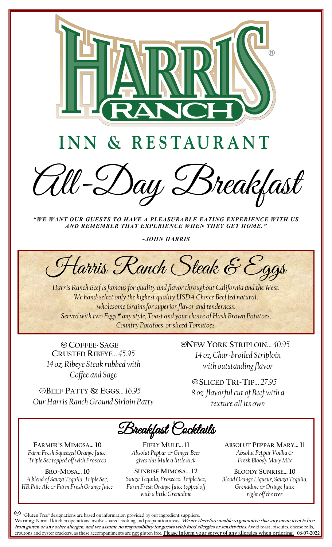

## INN & RESTAURANT

Day Breakfast

*"WE WANT OUR GUESTS TO HAVE A PLEASURABLE EATING EXPERIENCE WITH US AND REMEMBER THAT EXPERIENCE WHEN THEY GET HOME. "* 

*~JOHN HARRIS*

Harris Ranch Steak & Eggs

*Harris Ranch Beef is famous for quality and flavor throughout California and the West. We hand-select only the highest quality USDA Choice Beef fed natural, wholesome Grains for superior flavor and tenderness. Served with two Eggs \* any style, Toast and your choice of Hash Brown Potatoes, Country Potatoes or sliced Tomatoes.*

**COFFEE-SAGE CRUSTED RIBEYE***… 45.95 14 oz. Ribeye Steak rubbed with Coffee and Sage*

**BEEF PATTY & EGGS***… 16.95*

*Our Harris Ranch Ground Sirloin Patty* 

**NEW YORK STRIPLOIN***… 40.95 14 oz. Char-broiled Striploin with outstanding flavor*

**SLICED TRI-TIP***… 27.95 8 oz. flavorful cut of Beef with a texture all its own*

Breakfast Cocktails

**FARMER'S MIMOSA… 10** *Farm Fresh Squeezed Orange Juice, Triple Sec topped off with Prosecco*

**BRO-MOSA… 10** *A blend of Sauza Tequila, Triple Sec, HR Pale Ale & Farm Fresh Orange Juice*

**FIERY MULE… 11** *Absolut Peppar & Ginger Beer gives this Mule a little kick*

**SUNRISE MIMOSA… 12** *Sauza Tequila, Prosecco, Triple Sec, Farm Fresh Orange Juice topped off with a little Grenadine*

**ABSOLUT PEPPAR MARY… 11** *Absolut Peppar Vodka & Fresh Bloody Mary Mix*

**BLOODY SUNRISE… 10** *Blood Orange Liqueur, Sauza Tequila, Grenadine & Orange Juice right off the tree*

"Gluten Free" designations are based on information provided by our ingredient suppliers.

06-07-2022 croutons and oyster crackers, as these accompaniments are **not** gluten free. **Please inform your server of any allergies when ordering. Warning**: Normal kitchen operations involve shared cooking and preparation areas. **We are therefore unable to guarantee that any menu item is free from gluten or any other allergen, and we assume no responsibility for guests with food allergies or sensitivities***.* Avoid toast, biscuits, cheese rolls,